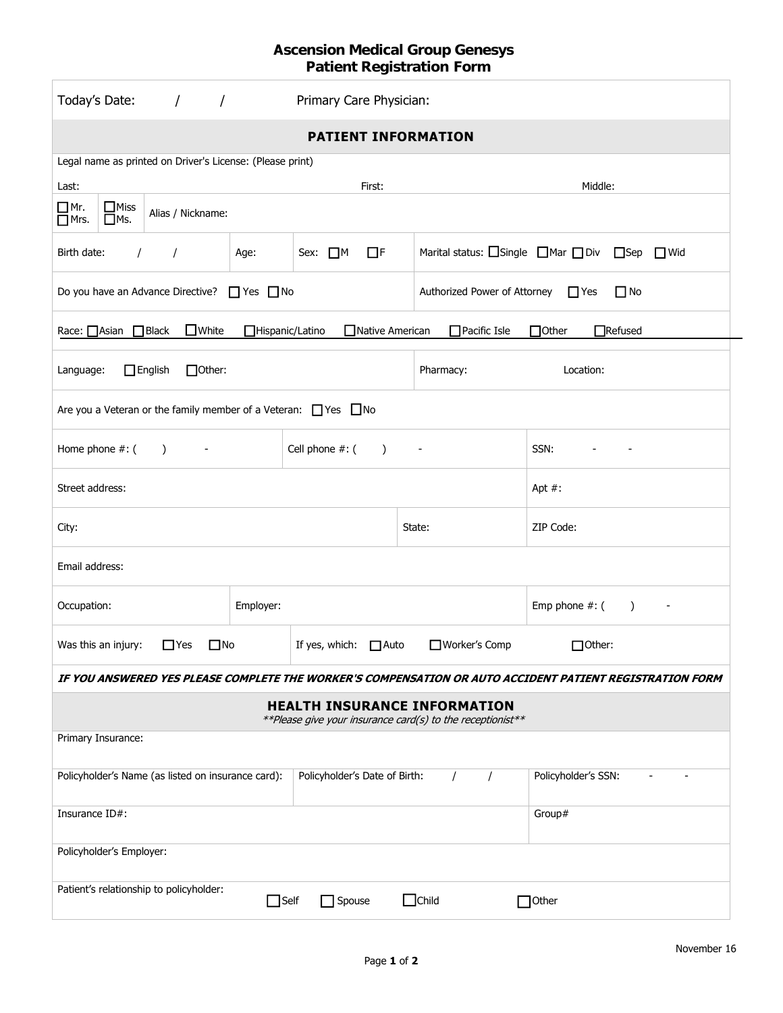## **Ascension Medical Group Genesys Patient Registration Form**

| Today's Date:<br>$\frac{1}{2}$                                                                                                     |           | Primary Care Physician:                                        |                              |                                                                              |  |  |  |
|------------------------------------------------------------------------------------------------------------------------------------|-----------|----------------------------------------------------------------|------------------------------|------------------------------------------------------------------------------|--|--|--|
| <b>PATIENT INFORMATION</b>                                                                                                         |           |                                                                |                              |                                                                              |  |  |  |
| Legal name as printed on Driver's License: (Please print)                                                                          |           |                                                                |                              |                                                                              |  |  |  |
| Last:                                                                                                                              |           | First:                                                         |                              | Middle:                                                                      |  |  |  |
| $\Box$ Miss<br>$\Box$ Mr.<br>Alias / Nickname:<br>$\Box$ Ms.<br>$\Box$ Mrs.                                                        |           |                                                                |                              |                                                                              |  |  |  |
| Birth date:<br>$\sqrt{ }$<br>$\prime$                                                                                              | Age:      | $\Box$ F<br>Sex: $\Box$ M                                      |                              | Marital status: $\Box$ Single $\Box$ Mar $\Box$ Div $\Box$ Sep<br>$\Box$ Wid |  |  |  |
| $\Box$ No<br>Do you have an Advance Directive? $\Box$ Yes $\Box$ No<br>Authorized Power of Attorney<br>$\Box$ Yes                  |           |                                                                |                              |                                                                              |  |  |  |
| Race: △Asian △Black<br>$\Box$ White<br>Hispanic/Latino<br>Native American<br>$\Box$ Pacific Isle<br>$\Box$ Other<br>$\Box$ Refused |           |                                                                |                              |                                                                              |  |  |  |
| $\Box$ English<br>$\Box$ Other:<br>Language:                                                                                       |           |                                                                | Pharmacy:                    | Location:                                                                    |  |  |  |
| Are you a Veteran or the family member of a Veteran: $\Box$ Yes $\Box$ No                                                          |           |                                                                |                              |                                                                              |  |  |  |
| Cell phone #: (<br>Home phone #: (<br>$\rightarrow$<br>$\overline{\phantom{a}}$                                                    |           |                                                                | $\qquad \qquad \blacksquare$ | SSN:                                                                         |  |  |  |
| Street address:                                                                                                                    |           |                                                                |                              | Apt $#$ :                                                                    |  |  |  |
| City:                                                                                                                              |           |                                                                | State:                       | ZIP Code:                                                                    |  |  |  |
| Email address:                                                                                                                     |           |                                                                |                              |                                                                              |  |  |  |
| Occupation:                                                                                                                        | Employer: |                                                                |                              | Emp phone $#$ : (<br>$\rightarrow$<br>$\blacksquare$                         |  |  |  |
| $\Box$ Yes<br>$\square$ No<br>Was this an injury:                                                                                  |           | $\Box$ Other:<br>□ Worker's Comp<br>If yes, which: $\Box$ Auto |                              |                                                                              |  |  |  |
| IF YOU ANSWERED YES PLEASE COMPLETE THE WORKER'S COMPENSATION OR AUTO ACCIDENT PATIENT REGISTRATION FORM                           |           |                                                                |                              |                                                                              |  |  |  |
| <b>HEALTH INSURANCE INFORMATION</b><br>**Please give your insurance card(s) to the receptionist**                                  |           |                                                                |                              |                                                                              |  |  |  |
| Primary Insurance:                                                                                                                 |           |                                                                |                              |                                                                              |  |  |  |
| Policyholder's Name (as listed on insurance card):                                                                                 |           | Policyholder's Date of Birth:                                  | $\prime$<br>$\prime$         | Policyholder's SSN:                                                          |  |  |  |
| Insurance $ID#$ :                                                                                                                  |           |                                                                | Group#                       |                                                                              |  |  |  |
| Policyholder's Employer:                                                                                                           |           |                                                                |                              |                                                                              |  |  |  |
| Patient's relationship to policyholder:<br>$\Box$ Child<br>$\Box$ Self<br>$\Box$ Spouse<br>Other                                   |           |                                                                |                              |                                                                              |  |  |  |